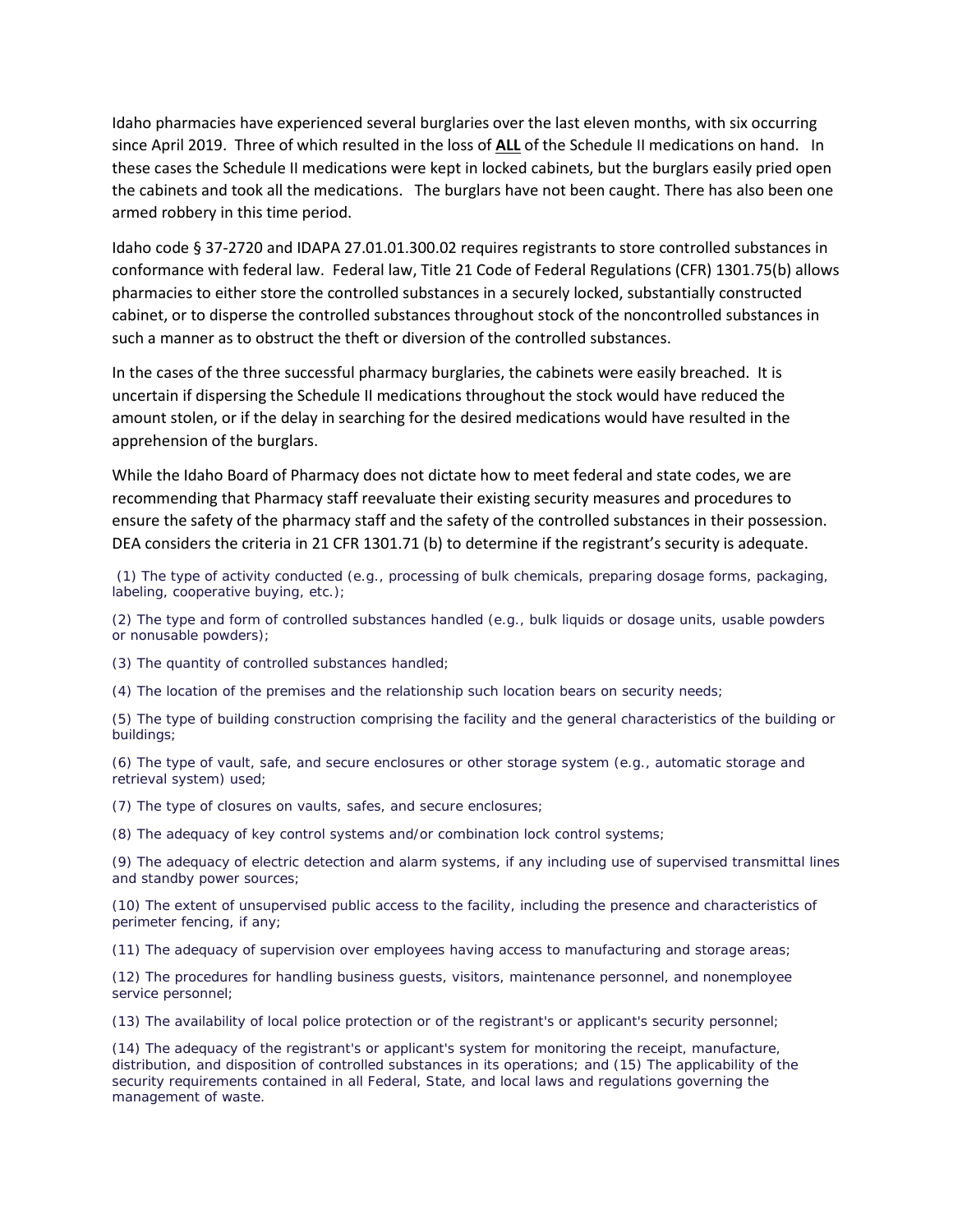Idaho pharmacies have experienced several burglaries over the last eleven months, with six occurring since April 2019. Three of which resulted in the loss of **ALL** of the Schedule II medications on hand. In these cases the Schedule II medications were kept in locked cabinets, but the burglars easily pried open the cabinets and took all the medications. The burglars have not been caught. There has also been one armed robbery in this time period.

Idaho code § 37-2720 and IDAPA 27.01.01.300.02 requires registrants to store controlled substances in conformance with federal law. Federal law, Title 21 Code of Federal Regulations (CFR) 1301.75(b) allows pharmacies to either store the controlled substances in a securely locked, substantially constructed cabinet, or to disperse the controlled substances throughout stock of the noncontrolled substances in such a manner as to obstruct the theft or diversion of the controlled substances.

In the cases of the three successful pharmacy burglaries, the cabinets were easily breached. It is uncertain if dispersing the Schedule II medications throughout the stock would have reduced the amount stolen, or if the delay in searching for the desired medications would have resulted in the apprehension of the burglars.

While the Idaho Board of Pharmacy does not dictate how to meet federal and state codes, we are recommending that Pharmacy staff reevaluate their existing security measures and procedures to ensure the safety of the pharmacy staff and the safety of the controlled substances in their possession. DEA considers the criteria in 21 CFR 1301.71 (b) to determine if the registrant's security is adequate.

(1) The type of activity conducted (e.g., processing of bulk chemicals, preparing dosage forms, packaging, labeling, cooperative buying, etc.);

(2) The type and form of controlled substances handled (e.g., bulk liquids or dosage units, usable powders or nonusable powders);

(3) The quantity of controlled substances handled;

(4) The location of the premises and the relationship such location bears on security needs;

(5) The type of building construction comprising the facility and the general characteristics of the building or buildings;

(6) The type of vault, safe, and secure enclosures or other storage system (e.g., automatic storage and retrieval system) used;

(7) The type of closures on vaults, safes, and secure enclosures;

(8) The adequacy of key control systems and/or combination lock control systems;

(9) The adequacy of electric detection and alarm systems, if any including use of supervised transmittal lines and standby power sources;

(10) The extent of unsupervised public access to the facility, including the presence and characteristics of perimeter fencing, if any;

(11) The adequacy of supervision over employees having access to manufacturing and storage areas;

(12) The procedures for handling business guests, visitors, maintenance personnel, and nonemployee service personnel;

(13) The availability of local police protection or of the registrant's or applicant's security personnel;

(14) The adequacy of the registrant's or applicant's system for monitoring the receipt, manufacture, distribution, and disposition of controlled substances in its operations; and (15) The applicability of the security requirements contained in all Federal, State, and local laws and regulations governing the management of waste.